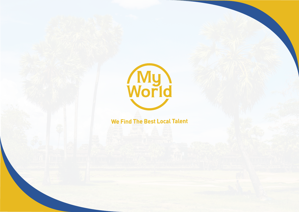

# We Find The Best Local Talent

# World

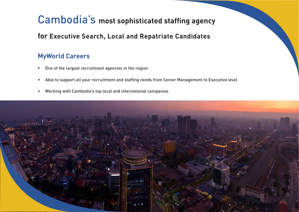- 
- 
- 

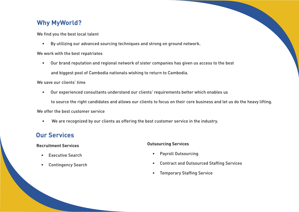# **Why MyWorld?**

We find you the best local talent

- By utilizing our advanced sourcing techniques and strong on ground network. We work with the best repatriates
	- Our brand reputation and regional network of sister companies has given us access to the best and biggest pool of Cambodia nationals wishing to return to Cambodia.

We save our clients' time

to source the right candidates and allows our clients to focus on their core business and let us do the heavy lifting.

- Our experienced consultants understand our clients' requirements better which enables us We offer the best customer service
	- We are recognized by our clients as offering the best customer service in the industry.

# **Our Services**

## **Recruitment Services**

- Executive Search
- Contingency Search

## **Outsourcing Services**

- Payroll Outsourcing
- Contract and Outsourced Staffing Services
- Temporary Staffing Service

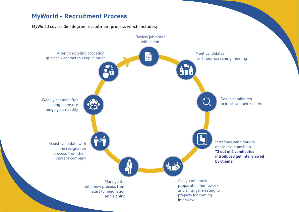# **MyWorld - Recruitment Process**

## MyWorld covers 360 degree recruitment process which includes;

interview